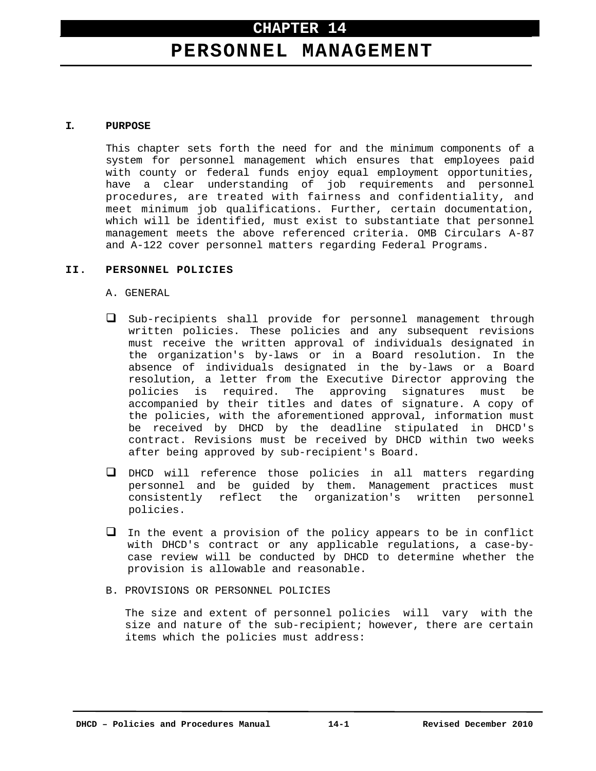# **CHAPTER 14**

# **PERSONNEL MANAGEMENT**

#### **I. PURPOSE**

This chapter sets forth the need for and the minimum components of a system for personnel management which ensures that employees paid with county or federal funds enjoy equal employment opportunities, have a clear understanding of job requirements and personnel procedures, are treated with fairness and confidentiality, and meet minimum job qualifications. Further, certain documentation, which will be identified, must exist to substantiate that personnel management meets the above referenced criteria. OMB Circulars A-87 and A-122 cover personnel matters regarding Federal Programs.

#### **II. PERSONNEL POLICIES**

A. GENERAL

- Sub-recipients shall provide for personnel management through written policies. These policies and any subsequent revisions must receive the written approval of individuals designated in the organization's by-laws or in a Board resolution. In the absence of individuals designated in the by-laws or a Board resolution, a letter from the Executive Director approving the policies is required. The approving signatures must be accompanied by their titles and dates of signature. A copy of the policies, with the aforementioned approval, information must be received by DHCD by the deadline stipulated in DHCD's contract. Revisions must be received by DHCD within two weeks after being approved by sub-recipient's Board.
- DHCD will reference those policies in all matters regarding personnel and be guided by them. Management practices must consistently reflect the organization's written personnel policies.
- $\Box$  In the event a provision of the policy appears to be in conflict with DHCD's contract or any applicable regulations, a case-bycase review will be conducted by DHCD to determine whether the provision is allowable and reasonable.
- B. PROVISIONS OR PERSONNEL POLICIES

The size and extent of personnel policies will vary with the size and nature of the sub-recipient; however, there are certain items which the policies must address: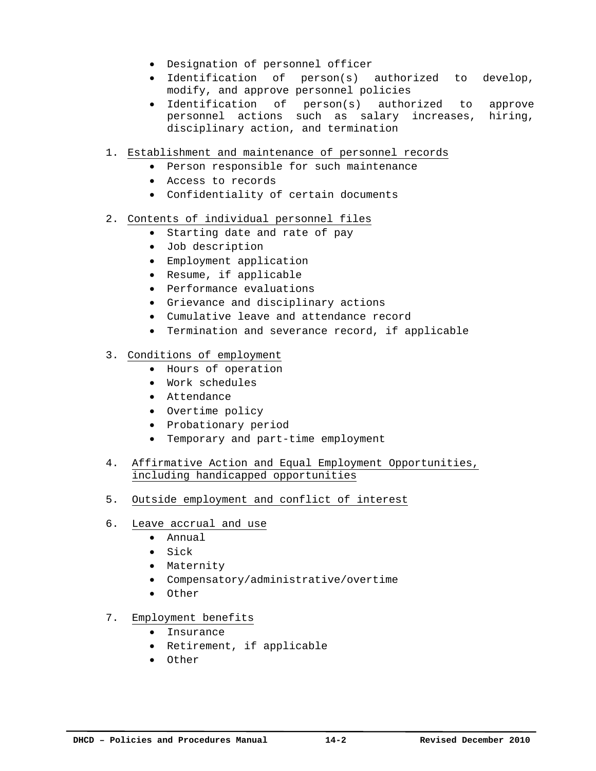- Designation of personnel officer
- Identification of person(s) authorized to develop, modify, and approve personnel policies
- Identification of person(s) authorized to approve personnel actions such as salary increases, hiring, disciplinary action, and termination
- 1. Establishment and maintenance of personnel records
	- Person responsible for such maintenance
	- Access to records
	- Confidentiality of certain documents
- 2. Contents of individual personnel files
	- Starting date and rate of pay
	- Job description
	- Employment application
	- Resume, if applicable
	- Performance evaluations
	- Grievance and disciplinary actions
	- Cumulative leave and attendance record
	- Termination and severance record, if applicable
- 3. Conditions of employment
	- Hours of operation
	- Work schedules
	- Attendance
	- Overtime policy
	- Probationary period
	- Temporary and part-time employment
- 4. Affirmative Action and Equal Employment Opportunities, including handicapped opportunities
- 5. Outside employment and conflict of interest
- 6. Leave accrual and use
	- Annual
	- Sick
	- Maternity
	- Compensatory/administrative/overtime
	- Other
- 7. Employment benefits
	- Insurance
	- Retirement, if applicable
	- Other